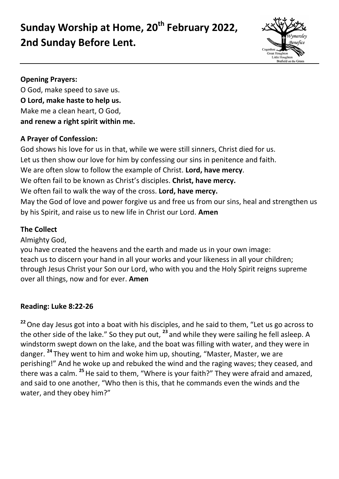# **Sunday Worship at Home, 20th February 2022, 2nd Sunday Before Lent.**



#### **Opening Prayers:**

O God, make speed to save us. **O Lord, make haste to help us.** Make me a clean heart, O God, **and renew a right spirit within me.**

### **A Prayer of Confession:**

God shows his love for us in that, while we were still sinners, Christ died for us. Let us then show our love for him by confessing our sins in penitence and faith. We are often slow to follow the example of Christ. **Lord, have mercy**. We often fail to be known as Christ's disciples. **Christ, have mercy.** We often fail to walk the way of the cross. **Lord, have mercy.** May the God of love and power forgive us and free us from our sins, heal and strengthen us by his Spirit, and raise us to new life in Christ our Lord. **Amen**

# **The Collect**

Almighty God,

you have created the heavens and the earth and made us in your own image: teach us to discern your hand in all your works and your likeness in all your children; through Jesus Christ your Son our Lord, who with you and the Holy Spirit reigns supreme over all things, now and for ever. **Amen**

# **Reading: Luke 8:22-26**

<sup>22</sup> One day Jesus got into a boat with his disciples, and he said to them, "Let us go across to the other side of the lake." So they put out, **<sup>23</sup>** and while they were sailing he fell asleep. A windstorm swept down on the lake, and the boat was filling with water, and they were in danger. **<sup>24</sup>** They went to him and woke him up, shouting, "Master, Master, we are perishing!" And he woke up and rebuked the wind and the raging waves; they ceased, and there was a calm. **<sup>25</sup>**He said to them, "Where is your faith?" They were afraid and amazed, and said to one another, "Who then is this, that he commands even the winds and the water, and they obey him?"